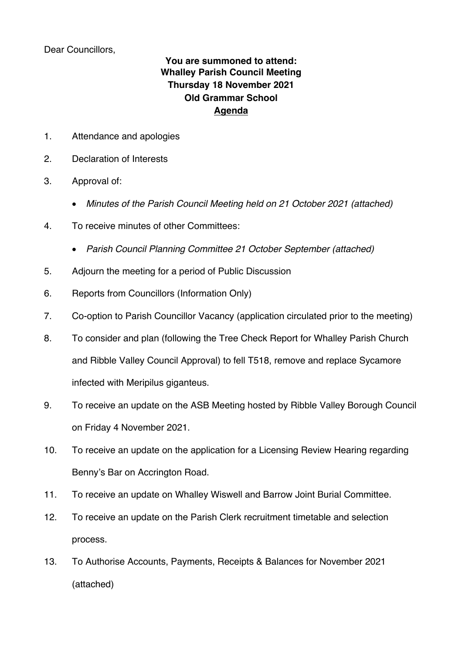Dear Councillors,

## **You are summoned to attend: Whalley Parish Council Meeting Thursday 18 November 2021 Old Grammar School Agenda**

- 1. Attendance and apologies
- 2. Declaration of Interests
- 3. Approval of:
	- *Minutes of the Parish Council Meeting held on 21 October 2021 (attached)*
- 4. To receive minutes of other Committees:
	- *Parish Council Planning Committee 21 October September (attached)*
- 5. Adjourn the meeting for a period of Public Discussion
- 6. Reports from Councillors (Information Only)
- 7. Co-option to Parish Councillor Vacancy (application circulated prior to the meeting)
- 8. To consider and plan (following the Tree Check Report for Whalley Parish Church and Ribble Valley Council Approval) to fell T518, remove and replace Sycamore infected with Meripilus giganteus.
- 9. To receive an update on the ASB Meeting hosted by Ribble Valley Borough Council on Friday 4 November 2021.
- 10. To receive an update on the application for a Licensing Review Hearing regarding Benny's Bar on Accrington Road.
- 11. To receive an update on Whalley Wiswell and Barrow Joint Burial Committee.
- 12. To receive an update on the Parish Clerk recruitment timetable and selection process.
- 13. To Authorise Accounts, Payments, Receipts & Balances for November 2021 (attached)